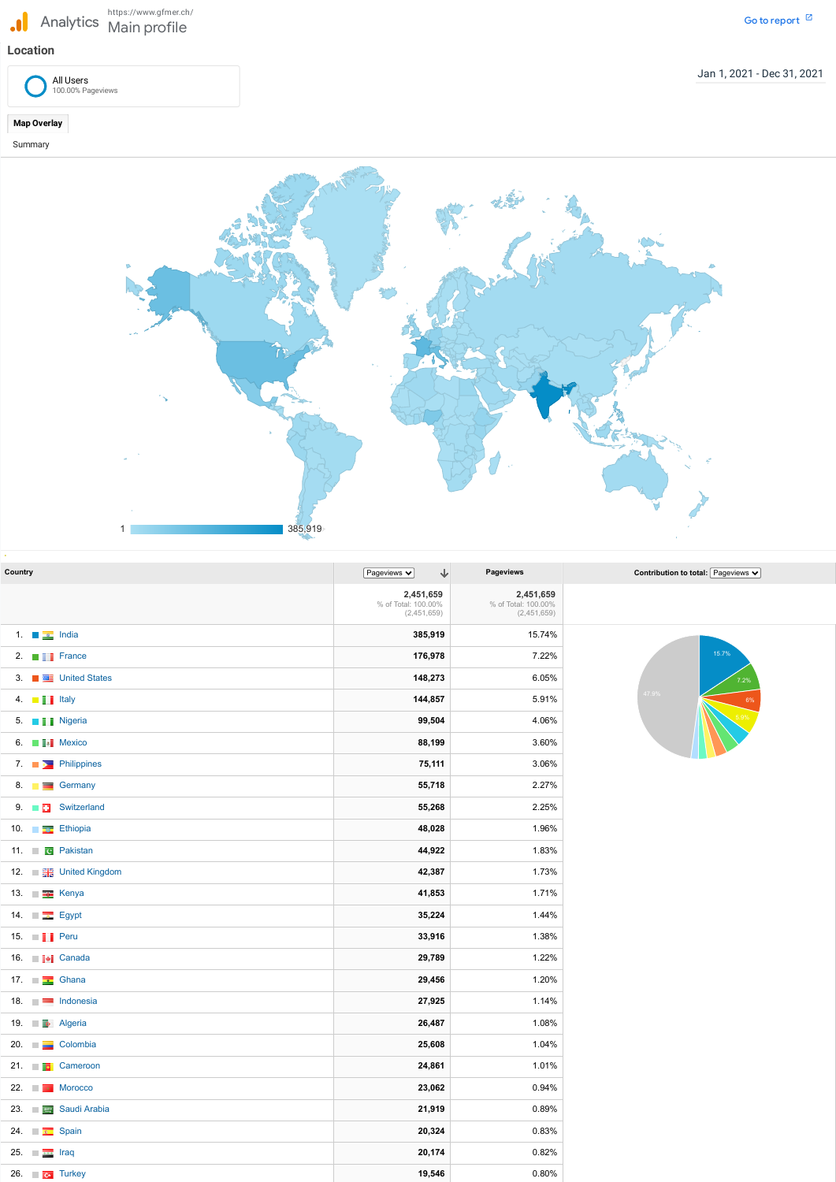## **Location**

Jan 1, 2021 - Dec 31, 2021

**Map Overlay**

Summary

| Country |                                | $\downarrow$<br>Pageviews $\blacktriangledown$  | Pageviews                                       | Contribution to total: Pageviews $\vee$ |
|---------|--------------------------------|-------------------------------------------------|-------------------------------------------------|-----------------------------------------|
|         |                                | 2,451,659<br>% of Total: 100.00%<br>(2,451,659) | 2,451,659<br>% of Total: 100.00%<br>(2,451,659) |                                         |
|         | 1. $\blacksquare$ India        | 385,919                                         | 15.74%                                          |                                         |
|         | 2. $\blacksquare$ France       | 176,978                                         | 7.22%                                           | 15.7%                                   |
|         | 3. <b>THE United States</b>    | 148,273                                         | 6.05%                                           | 7.2%                                    |
|         | 4. $\blacksquare$ Italy        | 144,857                                         | 5.91%                                           | 47.9%<br>6%                             |
|         | 5. <b>I</b> Nigeria            | 99,504                                          | 4.06%                                           | 5.9%                                    |
|         | 6. <b>ED</b> : Mexico          | 88,199                                          | 3.60%                                           |                                         |
|         | 7. $\Box$ Philippines          | 75,111                                          | 3.06%                                           |                                         |
|         | 8. <b>But Germany</b>          | 55,718                                          | 2.27%                                           |                                         |
|         | 9. <b>But Switzerland</b>      | 55,268                                          | 2.25%                                           |                                         |
|         | 10. <b>Ethiopia</b>            | 48,028                                          | 1.96%                                           |                                         |
|         | 11. <b>The Pakistan</b>        | 44,922                                          | 1.83%                                           |                                         |
|         | 12. <b>The United Kingdom</b>  | 42,387                                          | 1.73%                                           |                                         |
|         | 13. <b>■ BE</b> Kenya          | 41,853                                          | 1.71%                                           |                                         |
|         | 14. $\Box$ Egypt               | 35,224                                          | 1.44%                                           |                                         |
|         | 15. $\blacksquare$ Peru        | 33,916                                          | 1.38%                                           |                                         |
|         | 16. <b>II</b> Canada           | 29,789                                          | 1.22%                                           |                                         |
|         | 17. $\Box$ Ghana               | 29,456                                          | 1.20%                                           |                                         |
|         | 18. <b>Indonesia</b>           | 27,925                                          | 1.14%                                           |                                         |
|         | 19. <b>Example Algeria</b>     | 26,487                                          | 1.08%                                           |                                         |
|         | 20. Colombia                   | 25,608                                          | 1.04%                                           |                                         |
|         | 21. <b>DE</b> Cameroon         | 24,861                                          | 1.01%                                           |                                         |
|         | 22. $\blacksquare$ Morocco     | 23,062                                          | 0.94%                                           |                                         |
|         | 23. <b>Except Saudi Arabia</b> | 21,919                                          | 0.89%                                           |                                         |
|         | 24. $\Box$ Spain               | 20,324                                          | 0.83%                                           |                                         |
|         | 25. $\Box$                     | 20,174                                          | 0.82%                                           |                                         |
|         | 26. $\Box$ <b>C</b> Turkey     | 19,546                                          | 0.80%                                           |                                         |



All Users 100.00% Pageviews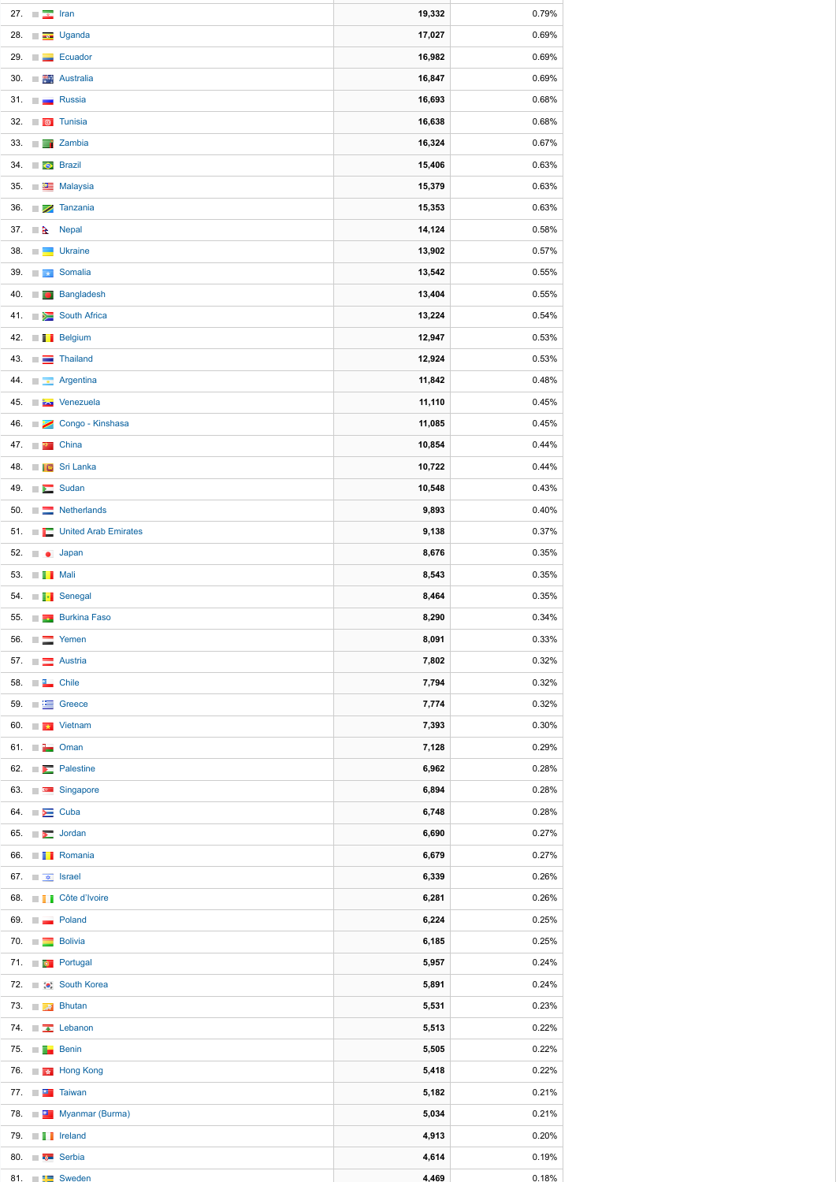| 27. | <b>In</b><br>$\overline{\mathcal{R}}$   | Iran                                         | 19,332 | 0.79% |
|-----|-----------------------------------------|----------------------------------------------|--------|-------|
| 28. | <b>College</b>                          | <b>Uganda</b>                                | 17,027 | 0.69% |
| 29. | $\sim$                                  | Ecuador                                      | 16,982 | 0.69% |
| 30. | <b>The State</b>                        | <b>Australia</b>                             | 16,847 | 0.69% |
| 31. | <b>In</b>                               | Russia                                       | 16,693 | 0.68% |
| 32. |                                         | <b>a</b> Tunisia                             | 16,638 | 0.68% |
| 33. | <b>The State</b>                        | <b>Zambia</b>                                | 16,324 | 0.67% |
| 34. | <b>Brazil</b>                           |                                              | 15,406 | 0.63% |
| 35. |                                         | <b>ESE</b> Malaysia                          | 15,379 | 0.63% |
| 36. | <b>College</b><br>╱                     | Tanzania                                     | 15,353 | 0.63% |
|     | 37. $\mathbb{R}$                        | <b>Nepal</b>                                 | 14,124 | 0.58% |
| 38. | $\sim$                                  | <b>Ukraine</b>                               | 13,902 | 0.57% |
| 39. | $\sim$<br><b>Det</b>                    | Somalia                                      | 13,542 | 0.55% |
| 40. | $\sim$<br>$\sqrt{2}$                    | <b>Bangladesh</b>                            | 13,404 | 0.55% |
|     |                                         | 41. South Africa                             | 13,224 | 0.54% |
| 42. |                                         | <b>THE Belgium</b>                           | 12,947 | 0.53% |
| 43. | $\sim$<br>$\equiv$                      | <b>Thailand</b>                              | 12,924 | 0.53% |
| 44. | <b>Tale</b><br>$\mathbf{r}$             | Argentina                                    | 11,842 | 0.48% |
| 45. | $\sim$                                  | <b>Extra</b> Venezuela                       | 11,110 | 0.45% |
|     |                                         | 46. Congo - Kinshasa                         | 11,085 | 0.45% |
|     | 47. $\blacksquare$ $\blacksquare$ China |                                              | 10,854 | 0.44% |
|     |                                         | 48. <b>ID</b> Sri Lanka                      | 10,722 | 0.44% |
|     |                                         | 49. $\Box$ Sudan                             | 10,548 | 0.43% |
|     |                                         | 50. E Netherlands                            | 9,893  | 0.40% |
|     |                                         | 51. <b>Exercise S1.</b> United Arab Emirates | 9,138  | 0.37% |
|     |                                         |                                              |        |       |
|     | 52. <b>Japan</b>                        |                                              | 8,676  | 0.35% |
|     | 53. <b>THE Mali</b>                     |                                              | 8,543  | 0.35% |
|     |                                         | 54. <b>F</b> Senegal                         | 8,464  | 0.35% |
|     |                                         | 55. <b>Burkina Faso</b>                      | 8,290  | 0.34% |
|     |                                         | 56. $\Box$ Yemen                             | 8,091  | 0.33% |
|     |                                         | 57. <b>Example 2</b> Austria                 | 7,802  | 0.32% |
|     | 58. <b>TE</b> Chile                     |                                              | 7,794  | 0.32% |
|     |                                         | 59. $\Box$ Greece                            | 7,774  | 0.32% |
|     |                                         | 60. $\blacksquare$ Vietnam                   | 7,393  | 0.30% |
|     | 61. $\blacksquare$ Oman                 |                                              | 7,128  | 0.29% |
|     |                                         | 62. <b>External Palestine</b>                | 6,962  | 0.28% |
|     |                                         | 63. <b>For Singapore</b>                     | 6,894  | 0.28% |
|     | 64. $\blacktriangleright$ Cuba          |                                              | 6,748  | 0.28% |
|     |                                         | 65. $\Box$ Jordan                            | 6,690  | 0.27% |
|     |                                         | 66. <b>THE Romania</b>                       | 6,679  | 0.27% |
|     | 67. $\blacksquare$ srael                |                                              | 6,339  | 0.26% |
|     |                                         | 68. <b>I Côte d'Ivoire</b>                   | 6,281  | 0.26% |
|     |                                         | 69. <b>Details</b> Poland                    | 6,224  | 0.25% |
|     |                                         | 70. Bolivia                                  | 6,185  | 0.25% |
|     |                                         | 71. <b>De Portugal</b>                       | 5,957  | 0.24% |
|     |                                         | 72. <b>a</b> : South Korea                   | 5,891  | 0.24% |
|     |                                         | 73. <b>A</b> Bhutan                          | 5,531  | 0.23% |
|     |                                         | 74. $\Box$ Lebanon                           | 5,513  | 0.22% |
|     | 75. $\blacksquare$ Benin                |                                              | 5,505  | 0.22% |
|     |                                         | 76. <b>The Hong Kong</b>                     | 5,418  | 0.22% |
|     |                                         | 77. <b>Taiwan</b>                            | 5,182  | 0.21% |
|     |                                         | 78. <b>Example 3</b> Myanmar (Burma)         | 5,034  | 0.21% |
|     |                                         | 79. $\blacksquare$ reland                    | 4,913  | 0.20% |
|     |                                         | 80. <b>For Serbia</b>                        | 4,614  | 0.19% |
|     |                                         | 81. <b>External Sweden</b>                   | 4,469  | 0.18% |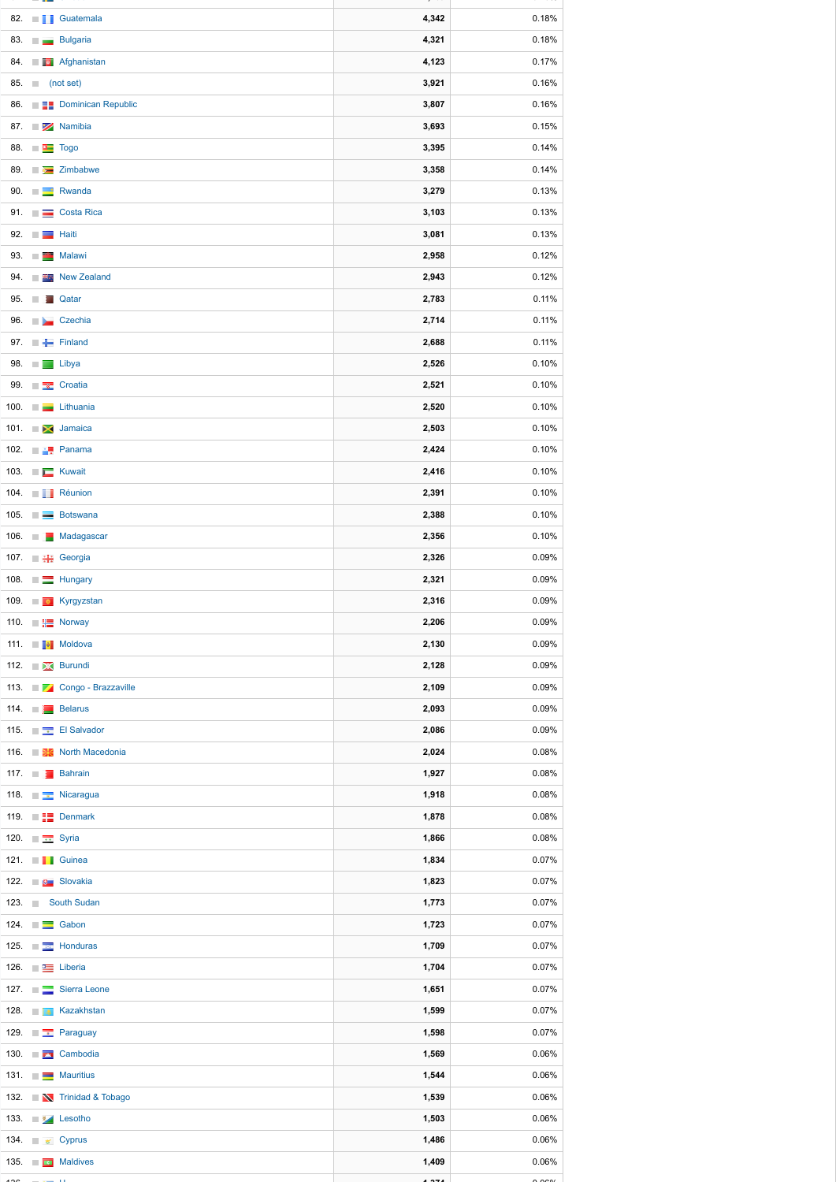**, 69**

0 8%

**89.9** 

| 4,321<br>0.18%<br>83. <b>Bulgaria</b><br>4,123<br>0.17%<br>84. <b>De Afghanistan</b><br>3,921<br>0.16%<br>85. (not set)<br>3,807<br>0.16%<br>86. <b>Example 2</b> Dominican Republic<br>3,693<br>0.15%<br>87. <b>Extra Namibia</b><br>3,395<br>0.14%<br>88. ■■ Togo<br>3,358<br>0.14%<br>89. $\Box$ Zimbabwe<br>3,279<br>0.13%<br>90. <b>External Rwanda</b><br>3,103<br>0.13%<br>91. <b>De Costa Rica</b><br>3,081<br>0.13%<br>92. $\blacksquare$ Haiti<br>2,958<br>0.12%<br>93. Malawi<br>2,943<br>0.12%<br>94. <b>Extra New Zealand</b><br>2,783<br>0.11%<br>95. <b>Qatar</b><br>0.11%<br>2,714<br>96. <b>De Czechia</b><br>2,688<br>0.11%<br>97. Finland<br>2,526<br>0.10%<br>98. <b>I Libya</b><br>2,521<br>0.10%<br>99. <b>For Strate</b> Croatia<br>2,520<br>0.10%<br>100. <b>The Lithuania</b><br>2,503<br>0.10%<br>101. <b>In all Jamaica</b><br>0.10%<br>2,424<br>102. $\Box$ <b>Panama</b><br>0.10%<br>2,416<br>103. Kuwait<br>2,391<br>0.10%<br>104. <b>Réunion</b><br>2,388<br>0.10%<br>105. <b>Botswana</b><br>2,356<br>0.10%<br>106. Madagascar<br>2,326<br>0.09%<br>107. <b>Fig. 3</b> Georgia<br>0.09%<br>2,321<br>108. $\Box$ Hungary<br>0.09%<br>2,316<br>109. <b>The Kyrgyzstan</b><br>2,206<br>0.09%<br>110. $\Box$ Norway<br>0.09%<br>111. <b>THE Moldova</b><br>2,130<br>0.09%<br>112. <b>No. 4</b> Burundi<br>2,128<br>0.09%<br>113. <b>The Congo</b> - Brazzaville<br>2,109<br>2,093<br>0.09%<br>114. <b>Belarus</b><br>2,086<br>0.09%<br>115. $\Box$ El Salvador<br>0.08%<br>116. <b>BE</b> North Macedonia<br>2,024<br>0.08%<br>1,927<br>117. <b>Bahrain</b><br>0.08%<br>118. <b>The Nicaragua</b><br>1,918<br>119. $\Box$ Denmark<br>0.08%<br>1,878<br>0.08%<br>120. <b>Fig. 120.</b> Syria<br>1,866<br>1,834<br>121. <b>THE Guinea</b><br>0.07%<br>122. <b>De Slovakia</b><br>1,823<br>0.07%<br>123. South Sudan<br>1,773<br>0.07%<br>124. <b>Exercise School</b><br>1,723<br>0.07%<br>1,709<br>0.07%<br>125. <b>Exam Honduras</b><br>1,704<br>0.07%<br>126. <b>Expanding Liberia</b><br>127. <b>Example 2</b> Sierra Leone<br>1,651<br>0.07%<br>128. <b>I B</b> Kazakhstan<br>1,599<br>0.07%<br>1,598<br>0.07%<br>129. $\Box$ Paraguay<br>130. <b>The Cambodia</b><br>1,569<br>0.06%<br>131. Mauritius<br>1,544<br>0.06%<br>132. W Trinidad & Tobago<br>1,539<br>0.06%<br>133. <b>All Lesotho</b><br>1,503<br>0.06%<br>1,486<br>0.06%<br>134. $\Box$ $\bullet$ Cyprus<br>0.06%<br>135. $\Box$ Maldives<br>1,409<br>ممه<br>يحميه<br>ممم م |  | 82. <b>I</b> Guatemala | 4,342 | 0.18% |
|------------------------------------------------------------------------------------------------------------------------------------------------------------------------------------------------------------------------------------------------------------------------------------------------------------------------------------------------------------------------------------------------------------------------------------------------------------------------------------------------------------------------------------------------------------------------------------------------------------------------------------------------------------------------------------------------------------------------------------------------------------------------------------------------------------------------------------------------------------------------------------------------------------------------------------------------------------------------------------------------------------------------------------------------------------------------------------------------------------------------------------------------------------------------------------------------------------------------------------------------------------------------------------------------------------------------------------------------------------------------------------------------------------------------------------------------------------------------------------------------------------------------------------------------------------------------------------------------------------------------------------------------------------------------------------------------------------------------------------------------------------------------------------------------------------------------------------------------------------------------------------------------------------------------------------------------------------------------------------------------------------------------------------------------------------------------------------------------------------------------------------------------------------------------------------------------------------------------------------------------------------------------------------------------------------------------------------------------------------------------------------------------------------------------------------------------------------------------|--|------------------------|-------|-------|
|                                                                                                                                                                                                                                                                                                                                                                                                                                                                                                                                                                                                                                                                                                                                                                                                                                                                                                                                                                                                                                                                                                                                                                                                                                                                                                                                                                                                                                                                                                                                                                                                                                                                                                                                                                                                                                                                                                                                                                                                                                                                                                                                                                                                                                                                                                                                                                                                                                                                        |  |                        |       |       |
|                                                                                                                                                                                                                                                                                                                                                                                                                                                                                                                                                                                                                                                                                                                                                                                                                                                                                                                                                                                                                                                                                                                                                                                                                                                                                                                                                                                                                                                                                                                                                                                                                                                                                                                                                                                                                                                                                                                                                                                                                                                                                                                                                                                                                                                                                                                                                                                                                                                                        |  |                        |       |       |
|                                                                                                                                                                                                                                                                                                                                                                                                                                                                                                                                                                                                                                                                                                                                                                                                                                                                                                                                                                                                                                                                                                                                                                                                                                                                                                                                                                                                                                                                                                                                                                                                                                                                                                                                                                                                                                                                                                                                                                                                                                                                                                                                                                                                                                                                                                                                                                                                                                                                        |  |                        |       |       |
|                                                                                                                                                                                                                                                                                                                                                                                                                                                                                                                                                                                                                                                                                                                                                                                                                                                                                                                                                                                                                                                                                                                                                                                                                                                                                                                                                                                                                                                                                                                                                                                                                                                                                                                                                                                                                                                                                                                                                                                                                                                                                                                                                                                                                                                                                                                                                                                                                                                                        |  |                        |       |       |
|                                                                                                                                                                                                                                                                                                                                                                                                                                                                                                                                                                                                                                                                                                                                                                                                                                                                                                                                                                                                                                                                                                                                                                                                                                                                                                                                                                                                                                                                                                                                                                                                                                                                                                                                                                                                                                                                                                                                                                                                                                                                                                                                                                                                                                                                                                                                                                                                                                                                        |  |                        |       |       |
|                                                                                                                                                                                                                                                                                                                                                                                                                                                                                                                                                                                                                                                                                                                                                                                                                                                                                                                                                                                                                                                                                                                                                                                                                                                                                                                                                                                                                                                                                                                                                                                                                                                                                                                                                                                                                                                                                                                                                                                                                                                                                                                                                                                                                                                                                                                                                                                                                                                                        |  |                        |       |       |
|                                                                                                                                                                                                                                                                                                                                                                                                                                                                                                                                                                                                                                                                                                                                                                                                                                                                                                                                                                                                                                                                                                                                                                                                                                                                                                                                                                                                                                                                                                                                                                                                                                                                                                                                                                                                                                                                                                                                                                                                                                                                                                                                                                                                                                                                                                                                                                                                                                                                        |  |                        |       |       |
|                                                                                                                                                                                                                                                                                                                                                                                                                                                                                                                                                                                                                                                                                                                                                                                                                                                                                                                                                                                                                                                                                                                                                                                                                                                                                                                                                                                                                                                                                                                                                                                                                                                                                                                                                                                                                                                                                                                                                                                                                                                                                                                                                                                                                                                                                                                                                                                                                                                                        |  |                        |       |       |
|                                                                                                                                                                                                                                                                                                                                                                                                                                                                                                                                                                                                                                                                                                                                                                                                                                                                                                                                                                                                                                                                                                                                                                                                                                                                                                                                                                                                                                                                                                                                                                                                                                                                                                                                                                                                                                                                                                                                                                                                                                                                                                                                                                                                                                                                                                                                                                                                                                                                        |  |                        |       |       |
|                                                                                                                                                                                                                                                                                                                                                                                                                                                                                                                                                                                                                                                                                                                                                                                                                                                                                                                                                                                                                                                                                                                                                                                                                                                                                                                                                                                                                                                                                                                                                                                                                                                                                                                                                                                                                                                                                                                                                                                                                                                                                                                                                                                                                                                                                                                                                                                                                                                                        |  |                        |       |       |
|                                                                                                                                                                                                                                                                                                                                                                                                                                                                                                                                                                                                                                                                                                                                                                                                                                                                                                                                                                                                                                                                                                                                                                                                                                                                                                                                                                                                                                                                                                                                                                                                                                                                                                                                                                                                                                                                                                                                                                                                                                                                                                                                                                                                                                                                                                                                                                                                                                                                        |  |                        |       |       |
|                                                                                                                                                                                                                                                                                                                                                                                                                                                                                                                                                                                                                                                                                                                                                                                                                                                                                                                                                                                                                                                                                                                                                                                                                                                                                                                                                                                                                                                                                                                                                                                                                                                                                                                                                                                                                                                                                                                                                                                                                                                                                                                                                                                                                                                                                                                                                                                                                                                                        |  |                        |       |       |
|                                                                                                                                                                                                                                                                                                                                                                                                                                                                                                                                                                                                                                                                                                                                                                                                                                                                                                                                                                                                                                                                                                                                                                                                                                                                                                                                                                                                                                                                                                                                                                                                                                                                                                                                                                                                                                                                                                                                                                                                                                                                                                                                                                                                                                                                                                                                                                                                                                                                        |  |                        |       |       |
|                                                                                                                                                                                                                                                                                                                                                                                                                                                                                                                                                                                                                                                                                                                                                                                                                                                                                                                                                                                                                                                                                                                                                                                                                                                                                                                                                                                                                                                                                                                                                                                                                                                                                                                                                                                                                                                                                                                                                                                                                                                                                                                                                                                                                                                                                                                                                                                                                                                                        |  |                        |       |       |
|                                                                                                                                                                                                                                                                                                                                                                                                                                                                                                                                                                                                                                                                                                                                                                                                                                                                                                                                                                                                                                                                                                                                                                                                                                                                                                                                                                                                                                                                                                                                                                                                                                                                                                                                                                                                                                                                                                                                                                                                                                                                                                                                                                                                                                                                                                                                                                                                                                                                        |  |                        |       |       |
|                                                                                                                                                                                                                                                                                                                                                                                                                                                                                                                                                                                                                                                                                                                                                                                                                                                                                                                                                                                                                                                                                                                                                                                                                                                                                                                                                                                                                                                                                                                                                                                                                                                                                                                                                                                                                                                                                                                                                                                                                                                                                                                                                                                                                                                                                                                                                                                                                                                                        |  |                        |       |       |
|                                                                                                                                                                                                                                                                                                                                                                                                                                                                                                                                                                                                                                                                                                                                                                                                                                                                                                                                                                                                                                                                                                                                                                                                                                                                                                                                                                                                                                                                                                                                                                                                                                                                                                                                                                                                                                                                                                                                                                                                                                                                                                                                                                                                                                                                                                                                                                                                                                                                        |  |                        |       |       |
|                                                                                                                                                                                                                                                                                                                                                                                                                                                                                                                                                                                                                                                                                                                                                                                                                                                                                                                                                                                                                                                                                                                                                                                                                                                                                                                                                                                                                                                                                                                                                                                                                                                                                                                                                                                                                                                                                                                                                                                                                                                                                                                                                                                                                                                                                                                                                                                                                                                                        |  |                        |       |       |
|                                                                                                                                                                                                                                                                                                                                                                                                                                                                                                                                                                                                                                                                                                                                                                                                                                                                                                                                                                                                                                                                                                                                                                                                                                                                                                                                                                                                                                                                                                                                                                                                                                                                                                                                                                                                                                                                                                                                                                                                                                                                                                                                                                                                                                                                                                                                                                                                                                                                        |  |                        |       |       |
|                                                                                                                                                                                                                                                                                                                                                                                                                                                                                                                                                                                                                                                                                                                                                                                                                                                                                                                                                                                                                                                                                                                                                                                                                                                                                                                                                                                                                                                                                                                                                                                                                                                                                                                                                                                                                                                                                                                                                                                                                                                                                                                                                                                                                                                                                                                                                                                                                                                                        |  |                        |       |       |
|                                                                                                                                                                                                                                                                                                                                                                                                                                                                                                                                                                                                                                                                                                                                                                                                                                                                                                                                                                                                                                                                                                                                                                                                                                                                                                                                                                                                                                                                                                                                                                                                                                                                                                                                                                                                                                                                                                                                                                                                                                                                                                                                                                                                                                                                                                                                                                                                                                                                        |  |                        |       |       |
|                                                                                                                                                                                                                                                                                                                                                                                                                                                                                                                                                                                                                                                                                                                                                                                                                                                                                                                                                                                                                                                                                                                                                                                                                                                                                                                                                                                                                                                                                                                                                                                                                                                                                                                                                                                                                                                                                                                                                                                                                                                                                                                                                                                                                                                                                                                                                                                                                                                                        |  |                        |       |       |
|                                                                                                                                                                                                                                                                                                                                                                                                                                                                                                                                                                                                                                                                                                                                                                                                                                                                                                                                                                                                                                                                                                                                                                                                                                                                                                                                                                                                                                                                                                                                                                                                                                                                                                                                                                                                                                                                                                                                                                                                                                                                                                                                                                                                                                                                                                                                                                                                                                                                        |  |                        |       |       |
|                                                                                                                                                                                                                                                                                                                                                                                                                                                                                                                                                                                                                                                                                                                                                                                                                                                                                                                                                                                                                                                                                                                                                                                                                                                                                                                                                                                                                                                                                                                                                                                                                                                                                                                                                                                                                                                                                                                                                                                                                                                                                                                                                                                                                                                                                                                                                                                                                                                                        |  |                        |       |       |
|                                                                                                                                                                                                                                                                                                                                                                                                                                                                                                                                                                                                                                                                                                                                                                                                                                                                                                                                                                                                                                                                                                                                                                                                                                                                                                                                                                                                                                                                                                                                                                                                                                                                                                                                                                                                                                                                                                                                                                                                                                                                                                                                                                                                                                                                                                                                                                                                                                                                        |  |                        |       |       |
|                                                                                                                                                                                                                                                                                                                                                                                                                                                                                                                                                                                                                                                                                                                                                                                                                                                                                                                                                                                                                                                                                                                                                                                                                                                                                                                                                                                                                                                                                                                                                                                                                                                                                                                                                                                                                                                                                                                                                                                                                                                                                                                                                                                                                                                                                                                                                                                                                                                                        |  |                        |       |       |
|                                                                                                                                                                                                                                                                                                                                                                                                                                                                                                                                                                                                                                                                                                                                                                                                                                                                                                                                                                                                                                                                                                                                                                                                                                                                                                                                                                                                                                                                                                                                                                                                                                                                                                                                                                                                                                                                                                                                                                                                                                                                                                                                                                                                                                                                                                                                                                                                                                                                        |  |                        |       |       |
|                                                                                                                                                                                                                                                                                                                                                                                                                                                                                                                                                                                                                                                                                                                                                                                                                                                                                                                                                                                                                                                                                                                                                                                                                                                                                                                                                                                                                                                                                                                                                                                                                                                                                                                                                                                                                                                                                                                                                                                                                                                                                                                                                                                                                                                                                                                                                                                                                                                                        |  |                        |       |       |
|                                                                                                                                                                                                                                                                                                                                                                                                                                                                                                                                                                                                                                                                                                                                                                                                                                                                                                                                                                                                                                                                                                                                                                                                                                                                                                                                                                                                                                                                                                                                                                                                                                                                                                                                                                                                                                                                                                                                                                                                                                                                                                                                                                                                                                                                                                                                                                                                                                                                        |  |                        |       |       |
|                                                                                                                                                                                                                                                                                                                                                                                                                                                                                                                                                                                                                                                                                                                                                                                                                                                                                                                                                                                                                                                                                                                                                                                                                                                                                                                                                                                                                                                                                                                                                                                                                                                                                                                                                                                                                                                                                                                                                                                                                                                                                                                                                                                                                                                                                                                                                                                                                                                                        |  |                        |       |       |
|                                                                                                                                                                                                                                                                                                                                                                                                                                                                                                                                                                                                                                                                                                                                                                                                                                                                                                                                                                                                                                                                                                                                                                                                                                                                                                                                                                                                                                                                                                                                                                                                                                                                                                                                                                                                                                                                                                                                                                                                                                                                                                                                                                                                                                                                                                                                                                                                                                                                        |  |                        |       |       |
|                                                                                                                                                                                                                                                                                                                                                                                                                                                                                                                                                                                                                                                                                                                                                                                                                                                                                                                                                                                                                                                                                                                                                                                                                                                                                                                                                                                                                                                                                                                                                                                                                                                                                                                                                                                                                                                                                                                                                                                                                                                                                                                                                                                                                                                                                                                                                                                                                                                                        |  |                        |       |       |
|                                                                                                                                                                                                                                                                                                                                                                                                                                                                                                                                                                                                                                                                                                                                                                                                                                                                                                                                                                                                                                                                                                                                                                                                                                                                                                                                                                                                                                                                                                                                                                                                                                                                                                                                                                                                                                                                                                                                                                                                                                                                                                                                                                                                                                                                                                                                                                                                                                                                        |  |                        |       |       |
|                                                                                                                                                                                                                                                                                                                                                                                                                                                                                                                                                                                                                                                                                                                                                                                                                                                                                                                                                                                                                                                                                                                                                                                                                                                                                                                                                                                                                                                                                                                                                                                                                                                                                                                                                                                                                                                                                                                                                                                                                                                                                                                                                                                                                                                                                                                                                                                                                                                                        |  |                        |       |       |
|                                                                                                                                                                                                                                                                                                                                                                                                                                                                                                                                                                                                                                                                                                                                                                                                                                                                                                                                                                                                                                                                                                                                                                                                                                                                                                                                                                                                                                                                                                                                                                                                                                                                                                                                                                                                                                                                                                                                                                                                                                                                                                                                                                                                                                                                                                                                                                                                                                                                        |  |                        |       |       |
|                                                                                                                                                                                                                                                                                                                                                                                                                                                                                                                                                                                                                                                                                                                                                                                                                                                                                                                                                                                                                                                                                                                                                                                                                                                                                                                                                                                                                                                                                                                                                                                                                                                                                                                                                                                                                                                                                                                                                                                                                                                                                                                                                                                                                                                                                                                                                                                                                                                                        |  |                        |       |       |
|                                                                                                                                                                                                                                                                                                                                                                                                                                                                                                                                                                                                                                                                                                                                                                                                                                                                                                                                                                                                                                                                                                                                                                                                                                                                                                                                                                                                                                                                                                                                                                                                                                                                                                                                                                                                                                                                                                                                                                                                                                                                                                                                                                                                                                                                                                                                                                                                                                                                        |  |                        |       |       |
|                                                                                                                                                                                                                                                                                                                                                                                                                                                                                                                                                                                                                                                                                                                                                                                                                                                                                                                                                                                                                                                                                                                                                                                                                                                                                                                                                                                                                                                                                                                                                                                                                                                                                                                                                                                                                                                                                                                                                                                                                                                                                                                                                                                                                                                                                                                                                                                                                                                                        |  |                        |       |       |
|                                                                                                                                                                                                                                                                                                                                                                                                                                                                                                                                                                                                                                                                                                                                                                                                                                                                                                                                                                                                                                                                                                                                                                                                                                                                                                                                                                                                                                                                                                                                                                                                                                                                                                                                                                                                                                                                                                                                                                                                                                                                                                                                                                                                                                                                                                                                                                                                                                                                        |  |                        |       |       |
|                                                                                                                                                                                                                                                                                                                                                                                                                                                                                                                                                                                                                                                                                                                                                                                                                                                                                                                                                                                                                                                                                                                                                                                                                                                                                                                                                                                                                                                                                                                                                                                                                                                                                                                                                                                                                                                                                                                                                                                                                                                                                                                                                                                                                                                                                                                                                                                                                                                                        |  |                        |       |       |
|                                                                                                                                                                                                                                                                                                                                                                                                                                                                                                                                                                                                                                                                                                                                                                                                                                                                                                                                                                                                                                                                                                                                                                                                                                                                                                                                                                                                                                                                                                                                                                                                                                                                                                                                                                                                                                                                                                                                                                                                                                                                                                                                                                                                                                                                                                                                                                                                                                                                        |  |                        |       |       |
|                                                                                                                                                                                                                                                                                                                                                                                                                                                                                                                                                                                                                                                                                                                                                                                                                                                                                                                                                                                                                                                                                                                                                                                                                                                                                                                                                                                                                                                                                                                                                                                                                                                                                                                                                                                                                                                                                                                                                                                                                                                                                                                                                                                                                                                                                                                                                                                                                                                                        |  |                        |       |       |
|                                                                                                                                                                                                                                                                                                                                                                                                                                                                                                                                                                                                                                                                                                                                                                                                                                                                                                                                                                                                                                                                                                                                                                                                                                                                                                                                                                                                                                                                                                                                                                                                                                                                                                                                                                                                                                                                                                                                                                                                                                                                                                                                                                                                                                                                                                                                                                                                                                                                        |  |                        |       |       |
|                                                                                                                                                                                                                                                                                                                                                                                                                                                                                                                                                                                                                                                                                                                                                                                                                                                                                                                                                                                                                                                                                                                                                                                                                                                                                                                                                                                                                                                                                                                                                                                                                                                                                                                                                                                                                                                                                                                                                                                                                                                                                                                                                                                                                                                                                                                                                                                                                                                                        |  |                        |       |       |
|                                                                                                                                                                                                                                                                                                                                                                                                                                                                                                                                                                                                                                                                                                                                                                                                                                                                                                                                                                                                                                                                                                                                                                                                                                                                                                                                                                                                                                                                                                                                                                                                                                                                                                                                                                                                                                                                                                                                                                                                                                                                                                                                                                                                                                                                                                                                                                                                                                                                        |  |                        |       |       |
|                                                                                                                                                                                                                                                                                                                                                                                                                                                                                                                                                                                                                                                                                                                                                                                                                                                                                                                                                                                                                                                                                                                                                                                                                                                                                                                                                                                                                                                                                                                                                                                                                                                                                                                                                                                                                                                                                                                                                                                                                                                                                                                                                                                                                                                                                                                                                                                                                                                                        |  |                        |       |       |
|                                                                                                                                                                                                                                                                                                                                                                                                                                                                                                                                                                                                                                                                                                                                                                                                                                                                                                                                                                                                                                                                                                                                                                                                                                                                                                                                                                                                                                                                                                                                                                                                                                                                                                                                                                                                                                                                                                                                                                                                                                                                                                                                                                                                                                                                                                                                                                                                                                                                        |  |                        |       |       |
|                                                                                                                                                                                                                                                                                                                                                                                                                                                                                                                                                                                                                                                                                                                                                                                                                                                                                                                                                                                                                                                                                                                                                                                                                                                                                                                                                                                                                                                                                                                                                                                                                                                                                                                                                                                                                                                                                                                                                                                                                                                                                                                                                                                                                                                                                                                                                                                                                                                                        |  |                        |       |       |
|                                                                                                                                                                                                                                                                                                                                                                                                                                                                                                                                                                                                                                                                                                                                                                                                                                                                                                                                                                                                                                                                                                                                                                                                                                                                                                                                                                                                                                                                                                                                                                                                                                                                                                                                                                                                                                                                                                                                                                                                                                                                                                                                                                                                                                                                                                                                                                                                                                                                        |  |                        |       |       |
|                                                                                                                                                                                                                                                                                                                                                                                                                                                                                                                                                                                                                                                                                                                                                                                                                                                                                                                                                                                                                                                                                                                                                                                                                                                                                                                                                                                                                                                                                                                                                                                                                                                                                                                                                                                                                                                                                                                                                                                                                                                                                                                                                                                                                                                                                                                                                                                                                                                                        |  |                        |       |       |
|                                                                                                                                                                                                                                                                                                                                                                                                                                                                                                                                                                                                                                                                                                                                                                                                                                                                                                                                                                                                                                                                                                                                                                                                                                                                                                                                                                                                                                                                                                                                                                                                                                                                                                                                                                                                                                                                                                                                                                                                                                                                                                                                                                                                                                                                                                                                                                                                                                                                        |  |                        |       |       |
|                                                                                                                                                                                                                                                                                                                                                                                                                                                                                                                                                                                                                                                                                                                                                                                                                                                                                                                                                                                                                                                                                                                                                                                                                                                                                                                                                                                                                                                                                                                                                                                                                                                                                                                                                                                                                                                                                                                                                                                                                                                                                                                                                                                                                                                                                                                                                                                                                                                                        |  |                        |       |       |
|                                                                                                                                                                                                                                                                                                                                                                                                                                                                                                                                                                                                                                                                                                                                                                                                                                                                                                                                                                                                                                                                                                                                                                                                                                                                                                                                                                                                                                                                                                                                                                                                                                                                                                                                                                                                                                                                                                                                                                                                                                                                                                                                                                                                                                                                                                                                                                                                                                                                        |  |                        |       |       |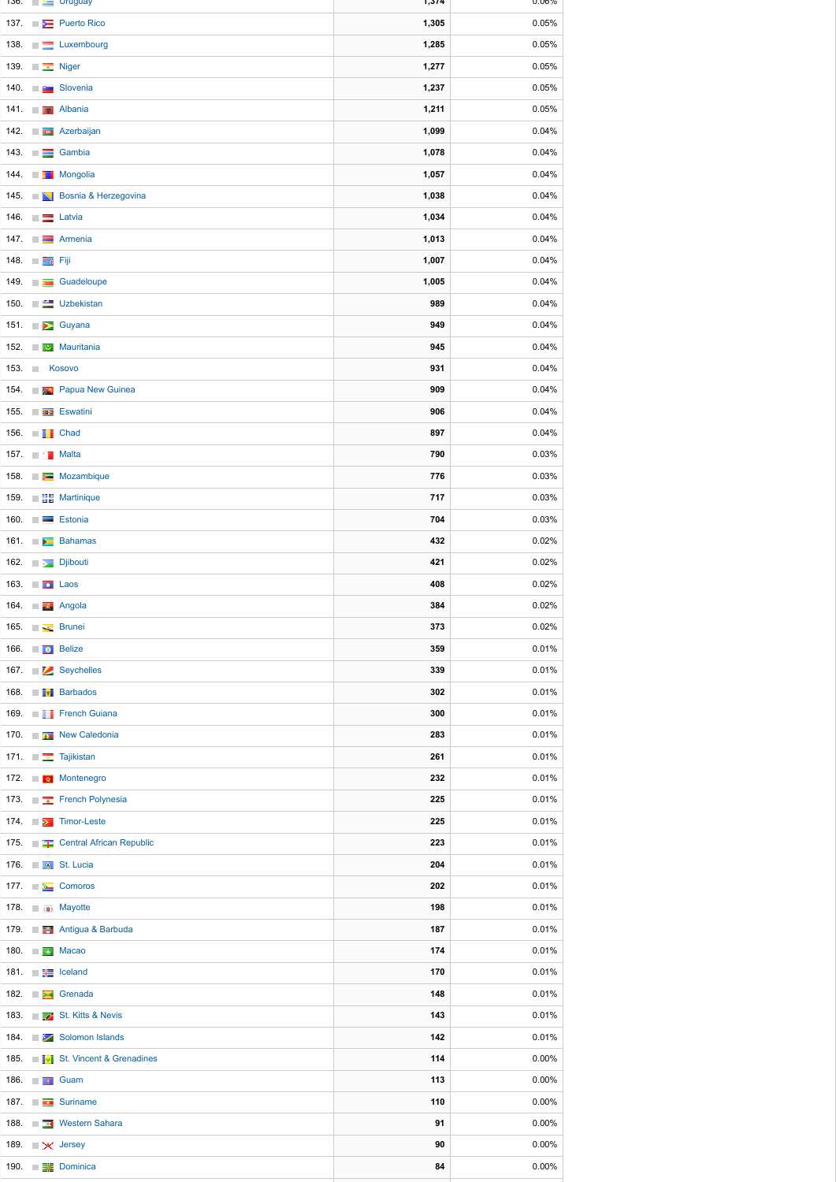| 136.        |                       | $\Box \Box$ Uruguay                      | 1,3/4 | $0.06\%$ |
|-------------|-----------------------|------------------------------------------|-------|----------|
|             |                       | 137. <b>Example Puerto Rico</b>          | 1,305 | 0.05%    |
|             |                       | 138. E Luxembourg                        | 1,285 | 0.05%    |
|             | 139. $\Box$ Niger     |                                          | 1,277 | 0.05%    |
|             |                       | 140. <b>Products</b> Slovenia            | 1,237 | 0.05%    |
|             |                       | 141. <b>Albania</b>                      | 1,211 | 0.05%    |
|             |                       | 142. <b>Exercise Azerbaijan</b>          | 1,099 | 0.04%    |
|             |                       | 143. $\Box$ Gambia                       | 1,078 | 0.04%    |
|             |                       | 144. <b>The Mongolia</b>                 | 1,057 | 0.04%    |
|             |                       | 145. <b>No Bosnia &amp; Herzegovina</b>  | 1,038 | 0.04%    |
|             |                       |                                          |       |          |
|             | 146. $\Box$ Latvia    |                                          | 1,034 | 0.04%    |
|             |                       | 147. <b>THE Armenia</b>                  | 1,013 | 0.04%    |
| 148.        | ■ <sup>秦</sup> 军 Fiji |                                          | 1,007 | 0.04%    |
|             |                       | 149. <b>Exercise Suadeloupe</b>          | 1,005 | 0.04%    |
|             |                       | 150. E Uzbekistan                        | 989   | 0.04%    |
|             |                       | 151. <b>DE</b> Guyana                    | 949   | 0.04%    |
|             |                       | 152. <b>The Mauritania</b>               | 945   | 0.04%    |
| 153. $\Box$ |                       | Kosovo                                   | 931   | 0.04%    |
|             |                       | 154. <b>Example 2 Papua New Guinea</b>   | 909   | 0.04%    |
|             |                       | 155. <b>The Eswatini</b>                 | 906   | 0.04%    |
|             | 156. <b>THE Chad</b>  |                                          | 897   | 0.04%    |
|             | 157. <b>The Malta</b> |                                          | 790   | 0.03%    |
|             |                       | 158. Mozambique                          | 776   | 0.03%    |
|             |                       | 159. <b>BE</b> Martinique                | 717   | 0.03%    |
|             |                       | 160. <b>Estonia</b>                      | 704   | 0.03%    |
|             |                       | 161. Bahamas                             | 432   | 0.02%    |
|             |                       | 162. <b>Dibouti</b>                      | 421   | 0.02%    |
|             |                       |                                          | 408   | 0.02%    |
|             | 163. $\Box$ Laos      |                                          |       |          |
|             |                       | 164. <b>Angola</b>                       | 384   | 0.02%    |
|             |                       | 165. Frunei                              | 373   | 0.02%    |
|             | 166. <b>Belize</b>    |                                          | 359   | 0.01%    |
|             |                       | 167. Seychelles                          | 339   | 0.01%    |
|             |                       | 168. <b>THE Barbados</b>                 | 302   | 0.01%    |
|             |                       | 169. <b>THE French Guiana</b>            | 300   | 0.01%    |
|             |                       | 170. <b>Exam New Caledonia</b>           | 283   | 0.01%    |
|             |                       | 171. <b>Example 18</b> Tajikistan        | 261   | 0.01%    |
|             |                       | 172. Montenegro                          | 232   | 0.01%    |
|             |                       | 173. <b>External Prench Polynesia</b>    | 225   | 0.01%    |
|             |                       | 174. <b>De Timor-Leste</b>               | 225   | 0.01%    |
|             |                       | 175. <b>The Central African Republic</b> | 223   | 0.01%    |
|             |                       | 176. <b>4 St. Lucia</b>                  | 204   | 0.01%    |
|             |                       | 177. <b>Exercise Comoros</b>             | 202   | 0.01%    |
|             |                       | 178. <b>The Mayotte</b>                  | 198   | 0.01%    |
|             |                       | 179. <b>The Antigua &amp; Barbuda</b>    | 187   | 0.01%    |
|             |                       | 180. $\Box$ Macao                        | 174   | 0.01%    |
|             |                       | 181. $\Box$ Iceland                      | 170   | 0.01%    |
|             |                       | 182. <b>In Box</b> Grenada               | 148   | 0.01%    |
|             |                       |                                          |       |          |
|             |                       | 183. <b>Example 2</b> St. Kitts & Nevis  | 143   | 0.01%    |
|             |                       | 184. <b>Example 21 Solomon Islands</b>   | 142   | 0.01%    |
|             |                       | 185. <b>I</b> . St. Vincent & Grenadines | 114   | 0.00%    |
|             | 186. <b>TH</b> Guam   |                                          | 113   | 0.00%    |
|             |                       | 187. Suriname                            | 110   | 0.00%    |
|             |                       | 188. <b>The Western Sahara</b>           | 91    | 0.00%    |
|             |                       | 189. $\mathbb{R} \times$ Jersey          | 90    | 0.00%    |
|             |                       | 190. <b>EX</b> Dominica                  | 84    | $0.00\%$ |